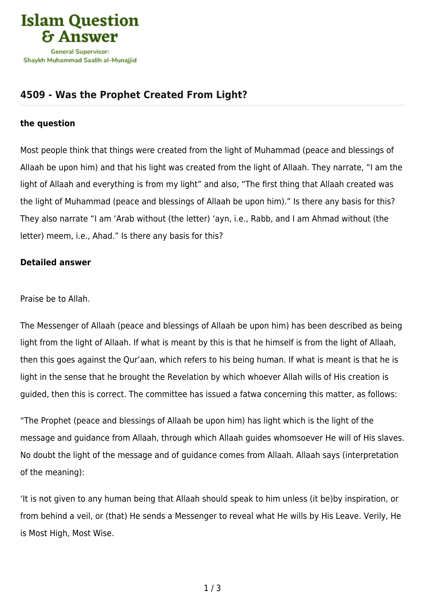

# **[4509 - Was the Prophet Created From Light?](https://islamqa.com/en/answers/4509/was-the-prophet-created-from-light)**

#### **the question**

Most people think that things were created from the light of Muhammad (peace and blessings of Allaah be upon him) and that his light was created from the light of Allaah. They narrate, "I am the light of Allaah and everything is from my light" and also, "The first thing that Allaah created was the light of Muhammad (peace and blessings of Allaah be upon him)." Is there any basis for this? They also narrate "I am 'Arab without (the letter) 'ayn, i.e., Rabb, and I am Ahmad without (the letter) meem, i.e., Ahad." Is there any basis for this?

## **Detailed answer**

#### Praise be to Allah.

The Messenger of Allaah (peace and blessings of Allaah be upon him) has been described as being light from the light of Allaah. If what is meant by this is that he himself is from the light of Allaah, then this goes against the Qur'aan, which refers to his being human. If what is meant is that he is light in the sense that he brought the Revelation by which whoever Allah wills of His creation is guided, then this is correct. The committee has issued a fatwa concerning this matter, as follows:

"The Prophet (peace and blessings of Allaah be upon him) has light which is the light of the message and guidance from Allaah, through which Allaah guides whomsoever He will of His slaves. No doubt the light of the message and of guidance comes from Allaah. Allaah says (interpretation of the meaning):

'It is not given to any human being that Allaah should speak to him unless (it be)by inspiration, or from behind a veil, or (that) He sends a Messenger to reveal what He wills by His Leave. Verily, He is Most High, Most Wise.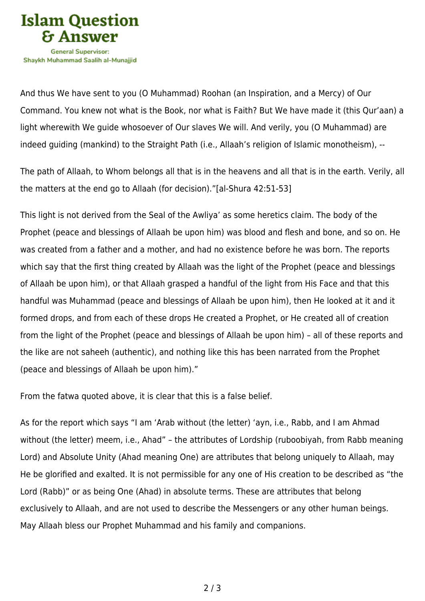

Shavkh Muhammad Saalih al-Munaiiid

And thus We have sent to you (O Muhammad) Roohan (an Inspiration, and a Mercy) of Our Command. You knew not what is the Book, nor what is Faith? But We have made it (this Qur'aan) a light wherewith We guide whosoever of Our slaves We will. And verily, you (O Muhammad) are indeed guiding (mankind) to the Straight Path (i.e., Allaah's religion of Islamic monotheism), --

The path of Allaah, to Whom belongs all that is in the heavens and all that is in the earth. Verily, all the matters at the end go to Allaah (for decision)."[al-Shura 42:51-53]

This light is not derived from the Seal of the Awliya' as some heretics claim. The body of the Prophet (peace and blessings of Allaah be upon him) was blood and flesh and bone, and so on. He was created from a father and a mother, and had no existence before he was born. The reports which say that the first thing created by Allaah was the light of the Prophet (peace and blessings of Allaah be upon him), or that Allaah grasped a handful of the light from His Face and that this handful was Muhammad (peace and blessings of Allaah be upon him), then He looked at it and it formed drops, and from each of these drops He created a Prophet, or He created all of creation from the light of the Prophet (peace and blessings of Allaah be upon him) – all of these reports and the like are not saheeh (authentic), and nothing like this has been narrated from the Prophet (peace and blessings of Allaah be upon him)."

From the fatwa quoted above, it is clear that this is a false belief.

As for the report which says "I am 'Arab without (the letter) 'ayn, i.e., Rabb, and I am Ahmad without (the letter) meem, i.e., Ahad" – the attributes of Lordship (ruboobiyah, from Rabb meaning Lord) and Absolute Unity (Ahad meaning One) are attributes that belong uniquely to Allaah, may He be glorified and exalted. It is not permissible for any one of His creation to be described as "the Lord (Rabb)" or as being One (Ahad) in absolute terms. These are attributes that belong exclusively to Allaah, and are not used to describe the Messengers or any other human beings. May Allaah bless our Prophet Muhammad and his family and companions.